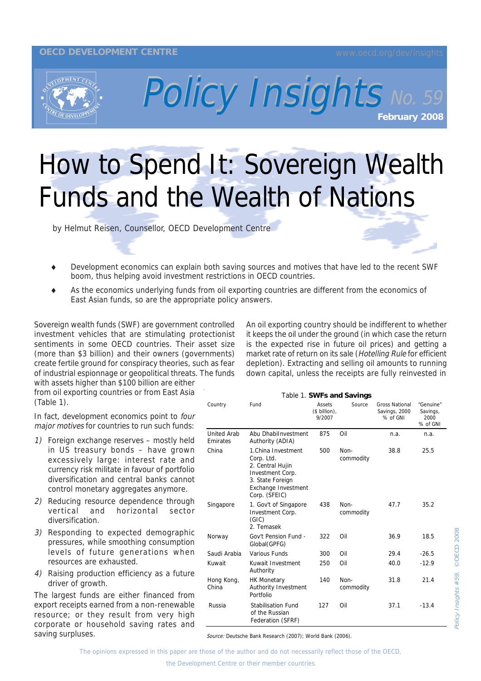## **OECD DEVELOPMENT CENTRE**



Policy Insights No. 59 No. 59

## How to Spend It: Sovereign Wealth Funds and the Wealth of Nations

by Helmut Reisen, Counsellor, OECD Development Centre

- Development economics can explain both saving sources and motives that have led to the recent SWF boom, thus helping avoid investment restrictions in OECD countries.
- As the economics underlying funds from oil exporting countries are different from the economics of East Asian funds, so are the appropriate policy answers.

Sovereign wealth funds (SWF) are government controlled investment vehicles that are stimulating protectionist sentiments in some OECD countries. Their asset size (more than \$3 billion) and their owners (governments) create fertile ground for conspiracy theories, such as fear of industrial espionnage or geopolitical threats. The funds

with assets higher than \$100 billion are either from oil exporting countries or from East Asia (Table 1).

In fact, development economics point to four major motives for countries to run such funds:

- 1) Foreign exchange reserves mostly held in US treasury bonds – have grown excessively large: interest rate and currency risk militate in favour of portfolio diversification and central banks cannot control monetary aggregates anymore.
- 2) Reducing resource dependence through vertical and horizontal sector diversification.
- 3) Responding to expected demographic pressures, while smoothing consumption levels of future generations when resources are exhausted.
- 4) Raising production efficiency as a future driver of growth.

The largest funds are either financed from export receipts earned from a non-renewable resource; or they result from very high corporate or household saving rates and saving surpluses.

An oil exporting country should be indifferent to whether it keeps the oil under the ground (in which case the return is the expected rise in future oil prices) and getting a market rate of return on its sale (Hotelling Rule for efficient depletion). Extracting and selling oil amounts to running down capital, unless the receipts are fully reinvested in

Table 1. **SWFs and Savings** Country Fund Assets (\$ billion), 9/2007 Source Gross National Savings, 2000 % of GNI "Genuine" Savings, 2000 % of GNI United Arab Emirates Abu DhabiInvestment Authority (ADIA) 875 Oil n.a. n.a. China 1.China Investment Corp. Ltd. 2. Central Hujin Investment Corp. 3. State Foreign Exchange Investment Corp. (SFEIC) 500 Noncommodity 38.8 25.5 Singapore 1. Gov't of Singapore Investment Corp. (GIC) 2. Temasek 438 Noncommodity 47.7 35.2 Norway Gov't Pension Fund - Global(GPFG) 322 Oil 36.9 18.5 Saudi Arabia Various Funds 300 Oil 29.4 -26.5 Kuwait Kuwait Investment Authority 250 Oil 40.0 -12.9 Hong Kong, HK Monetary Authority Investment 140 Non-31.8 21.4

commodity

127 Oil 37.1 -13.4

Source: Deutsche Bank Research (2007); World Bank (2006).

Portfolio

of the Russian Federation (SFRF)

Russia Stabilisation Fund

The opinions expressed in this paper are those of the author and do not necessarily reflect those of the OECD,

China